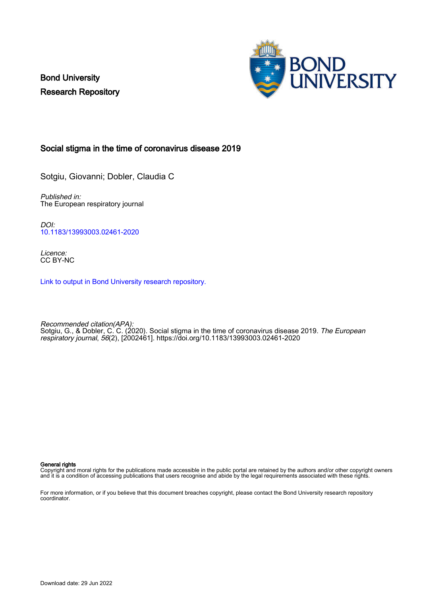Bond University Research Repository



## Social stigma in the time of coronavirus disease 2019

Sotgiu, Giovanni; Dobler, Claudia C

Published in: The European respiratory journal

DOI: [10.1183/13993003.02461-2020](https://doi.org/10.1183/13993003.02461-2020)

Licence: CC BY-NC

[Link to output in Bond University research repository.](https://research.bond.edu.au/en/publications/1532a6e1-05e4-497e-bf38-adc9d06d3780)

Recommended citation(APA): Sotgiu, G., & Dobler, C. C. (2020). Social stigma in the time of coronavirus disease 2019. *The European* respiratory journal, 56(2), [2002461].<https://doi.org/10.1183/13993003.02461-2020>

### General rights

Copyright and moral rights for the publications made accessible in the public portal are retained by the authors and/or other copyright owners and it is a condition of accessing publications that users recognise and abide by the legal requirements associated with these rights.

For more information, or if you believe that this document breaches copyright, please contact the Bond University research repository coordinator.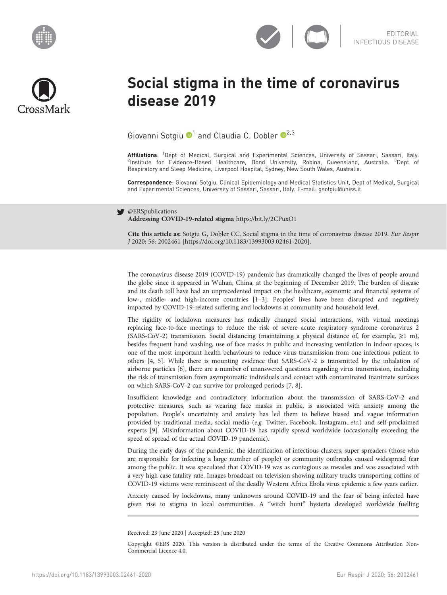





# Social stigma in the time of coronavirus disease 2019

Giovanni Sotgiu  $\mathbf{D}^1$  and Claudia C. Dobler  $\mathbf{D}^{2,3}$  $\mathbf{D}^{2,3}$  $\mathbf{D}^{2,3}$ 

**Affiliations**: <sup>1</sup>Dept of Medical, Surgical and Experimental Sciences, University of Sassari, Sassari, Italy.<br><sup>2</sup>Institute for Evidence-Based Healthcare, Bond University, Robina, Queensland, Australia. <sup>3</sup>Dept of Respiratory and Sleep Medicine, Liverpool Hospital, Sydney, New South Wales, Australia.

Correspondence: Giovanni Sotgiu, Clinical Epidemiology and Medical Statistics Unit, Dept of Medical, Surgical and Experimental Sciences, University of Sassari, Sassari, Italy. E-mail: [gsotgiu@uniss.it](mailto:gsotgiu@uniss.it)

### @ERSpublications

Addressing COVID-19-related stigma <https://bit.ly/2CPuxO1>

Cite this article as: Sotgiu G, Dobler CC. Social stigma in the time of coronavirus disease 2019. Eur Respir J 2020; 56: 2002461 [\[https://doi.org/10.1183/13993003.02461-2020\].](https://doi.org/10.1183/13993003.02461-2020)

The coronavirus disease 2019 (COVID-19) pandemic has dramatically changed the lives of people around the globe since it appeared in Wuhan, China, at the beginning of December 2019. The burden of disease and its death toll have had an unprecedented impact on the healthcare, economic and financial systems of low-, middle- and high-income countries [[1](#page-3-0)–[3\]](#page-3-0). Peoples' lives have been disrupted and negatively impacted by COVID-19-related suffering and lockdowns at community and household level.

The rigidity of lockdown measures has radically changed social interactions, with virtual meetings replacing face-to-face meetings to reduce the risk of severe acute respiratory syndrome coronavirus 2 (SARS-CoV-2) transmission. Social distancing (maintaining a physical distance of, for example,  $\geq 1$  m), besides frequent hand washing, use of face masks in public and increasing ventilation in indoor spaces, is one of the most important health behaviours to reduce virus transmission from one infectious patient to others [[4](#page-3-0), [5\]](#page-3-0). While there is mounting evidence that SARS-CoV-2 is transmitted by the inhalation of airborne particles [\[6\]](#page-3-0), there are a number of unanswered questions regarding virus transmission, including the risk of transmission from asymptomatic individuals and contact with contaminated inanimate surfaces on which SARS-CoV-2 can survive for prolonged periods [\[7, 8\]](#page-3-0).

Insufficient knowledge and contradictory information about the transmission of SARS-CoV-2 and protective measures, such as wearing face masks in public, is associated with anxiety among the population. People's uncertainty and anxiety has led them to believe biased and vague information provided by traditional media, social media (e.g. Twitter, Facebook, Instagram, etc.) and self-proclaimed experts [[9\]](#page-3-0). Misinformation about COVID-19 has rapidly spread worldwide (occasionally exceeding the speed of spread of the actual COVID-19 pandemic).

During the early days of the pandemic, the identification of infectious clusters, super spreaders (those who are responsible for infecting a large number of people) or community outbreaks caused widespread fear among the public. It was speculated that COVID-19 was as contagious as measles and was associated with a very high case fatality rate. Images broadcast on television showing military trucks transporting coffins of COVID-19 victims were reminiscent of the deadly Western Africa Ebola virus epidemic a few years earlier.

Anxiety caused by lockdowns, many unknowns around COVID-19 and the fear of being infected have given rise to stigma in local communities. A "witch hunt" hysteria developed worldwide fuelling

Received: 23 June 2020 | Accepted: 25 June 2020

Copyright ©ERS 2020. This version is distributed under the terms of the Creative Commons Attribution Non-Commercial Licence 4.0.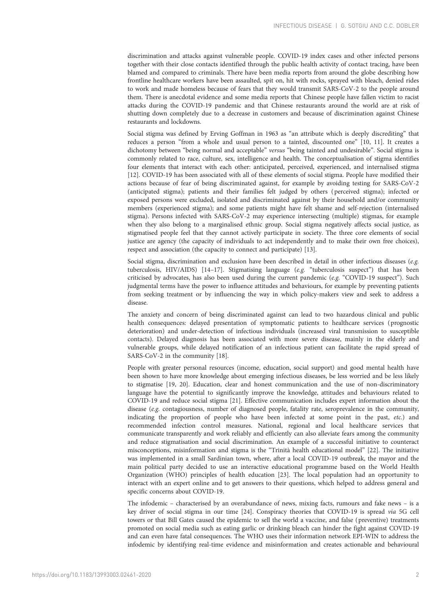discrimination and attacks against vulnerable people. COVID-19 index cases and other infected persons together with their close contacts identified through the public health activity of contact tracing, have been blamed and compared to criminals. There have been media reports from around the globe describing how frontline healthcare workers have been assaulted, spit on, hit with rocks, sprayed with bleach, denied rides to work and made homeless because of fears that they would transmit SARS-CoV-2 to the people around them. There is anecdotal evidence and some media reports that Chinese people have fallen victim to racist attacks during the COVID-19 pandemic and that Chinese restaurants around the world are at risk of shutting down completely due to a decrease in customers and because of discrimination against Chinese restaurants and lockdowns.

Social stigma was defined by Erving Goffman in 1963 as "an attribute which is deeply discrediting" that reduces a person "from a whole and usual person to a tainted, discounted one" [[10](#page-3-0), [11](#page-3-0)]. It creates a dichotomy between "being normal and acceptable" versus "being tainted and undesirable". Social stigma is commonly related to race, culture, sex, intelligence and health. The conceptualisation of stigma identifies four elements that interact with each other: anticipated, perceived, experienced, and internalised stigma [\[12\]](#page-3-0). COVID-19 has been associated with all of these elements of social stigma. People have modified their actions because of fear of being discriminated against, for example by avoiding testing for SARS-CoV-2 (anticipated stigma); patients and their families felt judged by others ( perceived stigma); infected or exposed persons were excluded, isolated and discriminated against by their household and/or community members (experienced stigma); and some patients might have felt shame and self-rejection (internalised stigma). Persons infected with SARS-CoV-2 may experience intersecting (multiple) stigmas, for example when they also belong to a marginalised ethnic group. Social stigma negatively affects social justice, as stigmatised people feel that they cannot actively participate in society. The three core elements of social justice are agency (the capacity of individuals to act independently and to make their own free choices), respect and association (the capacity to connect and participate) [[13](#page-3-0)].

Social stigma, discrimination and exclusion have been described in detail in other infectious diseases (e.g. tuberculosis, HIV/AIDS) [[14](#page-3-0)-[17\]](#page-3-0). Stigmatising language (e.g. "tuberculosis suspect") that has been criticised by advocates, has also been used during the current pandemic (e.g. "COVID-19 suspect"). Such judgmental terms have the power to influence attitudes and behaviours, for example by preventing patients from seeking treatment or by influencing the way in which policy-makers view and seek to address a disease.

The anxiety and concern of being discriminated against can lead to two hazardous clinical and public health consequences: delayed presentation of symptomatic patients to healthcare services ( prognostic deterioration) and under-detection of infectious individuals (increased viral transmission to susceptible contacts). Delayed diagnosis has been associated with more severe disease, mainly in the elderly and vulnerable groups, while delayed notification of an infectious patient can facilitate the rapid spread of SARS-CoV-2 in the community [\[18\]](#page-3-0).

People with greater personal resources (income, education, social support) and good mental health have been shown to have more knowledge about emerging infectious diseases, be less worried and be less likely to stigmatise [\[19, 20\]](#page-3-0). Education, clear and honest communication and the use of non-discriminatory language have the potential to significantly improve the knowledge, attitudes and behaviours related to COVID-19 and reduce social stigma [\[21\]](#page-3-0). Effective communication includes expert information about the disease (e.g. contagiousness, number of diagnosed people, fatality rate, seroprevalence in the community, indicating the proportion of people who have been infected at some point in the past, etc.) and recommended infection control measures. National, regional and local healthcare services that communicate transparently and work reliably and efficiently can also alleviate fears among the community and reduce stigmatisation and social discrimination. An example of a successful initiative to counteract misconceptions, misinformation and stigma is the "Trinità health educational model" [[22](#page-3-0)]. The initiative was implemented in a small Sardinian town, where, after a local COVID-19 outbreak, the mayor and the main political party decided to use an interactive educational programme based on the World Health Organization (WHO) principles of health education [\[23\]](#page-3-0). The local population had an opportunity to interact with an expert online and to get answers to their questions, which helped to address general and specific concerns about COVID-19.

The infodemic – characterised by an overabundance of news, mixing facts, rumours and fake news – is a key driver of social stigma in our time [\[24](#page-3-0)]. Conspiracy theories that COVID-19 is spread via 5G cell towers or that Bill Gates caused the epidemic to sell the world a vaccine, and false ( preventive) treatments promoted on social media such as eating garlic or drinking bleach can hinder the fight against COVID-19 and can even have fatal consequences. The WHO uses their information network EPI-WIN to address the infodemic by identifying real-time evidence and misinformation and creates actionable and behavioural